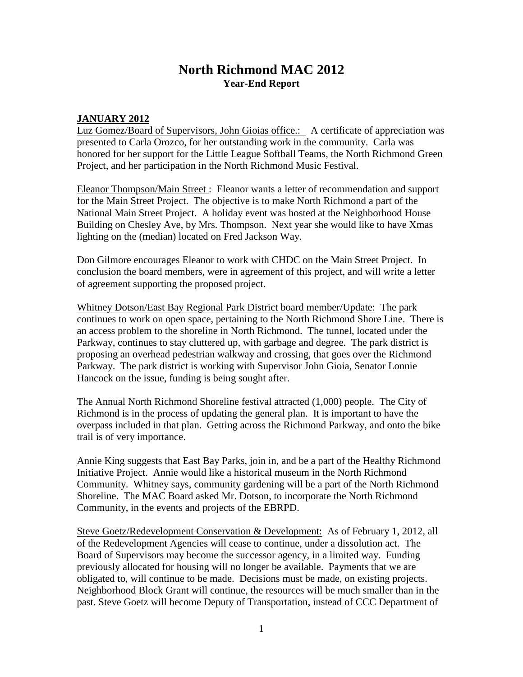# **North Richmond MAC 2012 Year-End Report**

#### **JANUARY 2012**

Luz Gomez/Board of Supervisors, John Gioias office.: A certificate of appreciation was presented to Carla Orozco, for her outstanding work in the community. Carla was honored for her support for the Little League Softball Teams, the North Richmond Green Project, and her participation in the North Richmond Music Festival.

Eleanor Thompson/Main Street : Eleanor wants a letter of recommendation and support for the Main Street Project. The objective is to make North Richmond a part of the National Main Street Project. A holiday event was hosted at the Neighborhood House Building on Chesley Ave, by Mrs. Thompson. Next year she would like to have Xmas lighting on the (median) located on Fred Jackson Way.

Don Gilmore encourages Eleanor to work with CHDC on the Main Street Project. In conclusion the board members, were in agreement of this project, and will write a letter of agreement supporting the proposed project.

Whitney Dotson/East Bay Regional Park District board member/Update: The park continues to work on open space, pertaining to the North Richmond Shore Line. There is an access problem to the shoreline in North Richmond. The tunnel, located under the Parkway, continues to stay cluttered up, with garbage and degree. The park district is proposing an overhead pedestrian walkway and crossing, that goes over the Richmond Parkway. The park district is working with Supervisor John Gioia, Senator Lonnie Hancock on the issue, funding is being sought after.

The Annual North Richmond Shoreline festival attracted (1,000) people. The City of Richmond is in the process of updating the general plan. It is important to have the overpass included in that plan. Getting across the Richmond Parkway, and onto the bike trail is of very importance.

Annie King suggests that East Bay Parks, join in, and be a part of the Healthy Richmond Initiative Project. Annie would like a historical museum in the North Richmond Community. Whitney says, community gardening will be a part of the North Richmond Shoreline. The MAC Board asked Mr. Dotson, to incorporate the North Richmond Community, in the events and projects of the EBRPD.

Steve Goetz/Redevelopment Conservation & Development: As of February 1, 2012, all of the Redevelopment Agencies will cease to continue, under a dissolution act. The Board of Supervisors may become the successor agency, in a limited way. Funding previously allocated for housing will no longer be available. Payments that we are obligated to, will continue to be made. Decisions must be made, on existing projects. Neighborhood Block Grant will continue, the resources will be much smaller than in the past. Steve Goetz will become Deputy of Transportation, instead of CCC Department of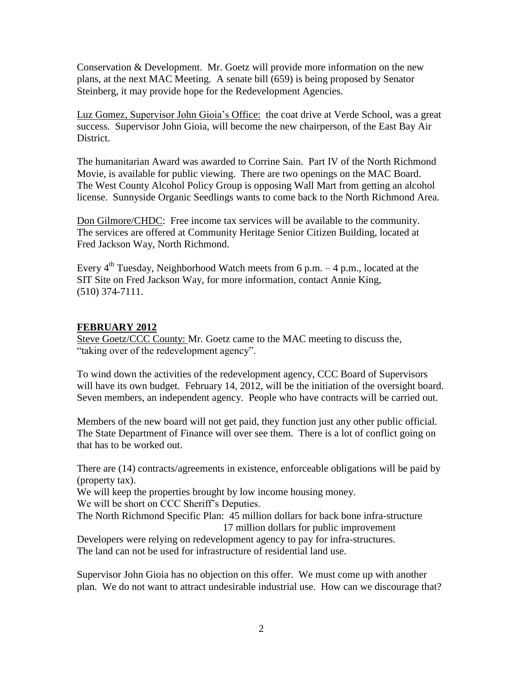Conservation & Development. Mr. Goetz will provide more information on the new plans, at the next MAC Meeting. A senate bill (659) is being proposed by Senator Steinberg, it may provide hope for the Redevelopment Agencies.

Luz Gomez, Supervisor John Gioia's Office: the coat drive at Verde School, was a great success. Supervisor John Gioia, will become the new chairperson, of the East Bay Air District.

The humanitarian Award was awarded to Corrine Sain. Part IV of the North Richmond Movie, is available for public viewing. There are two openings on the MAC Board. The West County Alcohol Policy Group is opposing Wall Mart from getting an alcohol license. Sunnyside Organic Seedlings wants to come back to the North Richmond Area.

Don Gilmore/CHDC: Free income tax services will be available to the community. The services are offered at Community Heritage Senior Citizen Building, located at Fred Jackson Way, North Richmond.

Every  $4^{th}$  Tuesday, Neighborhood Watch meets from 6 p.m.  $-4$  p.m., located at the SIT Site on Fred Jackson Way, for more information, contact Annie King, (510) 374-7111.

## **FEBRUARY 2012**

Steve Goetz/CCC County: Mr. Goetz came to the MAC meeting to discuss the, "taking over of the redevelopment agency".

To wind down the activities of the redevelopment agency, CCC Board of Supervisors will have its own budget. February 14, 2012, will be the initiation of the oversight board. Seven members, an independent agency. People who have contracts will be carried out.

Members of the new board will not get paid, they function just any other public official. The State Department of Finance will over see them. There is a lot of conflict going on that has to be worked out.

There are (14) contracts/agreements in existence, enforceable obligations will be paid by (property tax).

We will keep the properties brought by low income housing money. We will be short on CCC Sheriff's Deputies.

The North Richmond Specific Plan: 45 million dollars for back bone infra-structure 17 million dollars for public improvement

Developers were relying on redevelopment agency to pay for infra-structures. The land can not be used for infrastructure of residential land use.

Supervisor John Gioia has no objection on this offer. We must come up with another plan. We do not want to attract undesirable industrial use. How can we discourage that?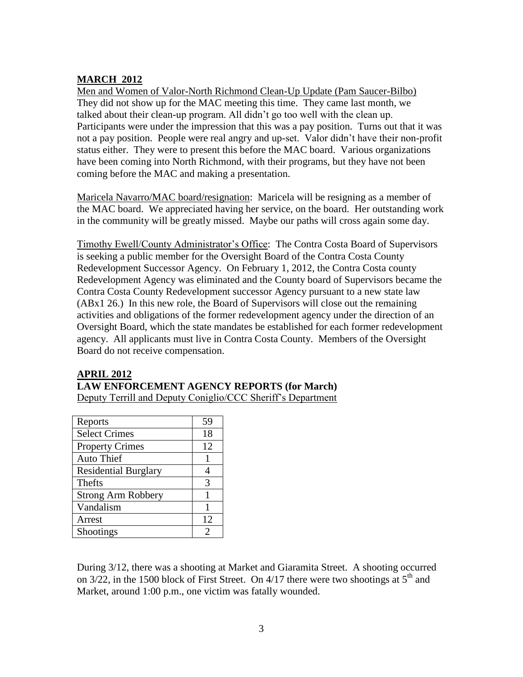# **MARCH 2012**

Men and Women of Valor-North Richmond Clean-Up Update (Pam Saucer-Bilbo) They did not show up for the MAC meeting this time. They came last month, we talked about their clean-up program. All didn't go too well with the clean up. Participants were under the impression that this was a pay position. Turns out that it was not a pay position. People were real angry and up-set. Valor didn't have their non-profit status either. They were to present this before the MAC board. Various organizations have been coming into North Richmond, with their programs, but they have not been coming before the MAC and making a presentation.

Maricela Navarro/MAC board/resignation: Maricela will be resigning as a member of the MAC board. We appreciated having her service, on the board. Her outstanding work in the community will be greatly missed. Maybe our paths will cross again some day.

Timothy Ewell/County Administrator's Office: The Contra Costa Board of Supervisors is seeking a public member for the Oversight Board of the Contra Costa County Redevelopment Successor Agency. On February 1, 2012, the Contra Costa county Redevelopment Agency was eliminated and the County board of Supervisors became the Contra Costa County Redevelopment successor Agency pursuant to a new state law (ABx1 26.) In this new role, the Board of Supervisors will close out the remaining activities and obligations of the former redevelopment agency under the direction of an Oversight Board, which the state mandates be established for each former redevelopment agency. All applicants must live in Contra Costa County. Members of the Oversight Board do not receive compensation.

## **APRIL 2012**

**LAW ENFORCEMENT AGENCY REPORTS (for March)**

Deputy Terrill and Deputy Coniglio/CCC Sheriff's Department

| Reports                     | 59 |
|-----------------------------|----|
| <b>Select Crimes</b>        | 18 |
| <b>Property Crimes</b>      | 12 |
| <b>Auto Thief</b>           |    |
| <b>Residential Burglary</b> |    |
| Thefts                      | 3  |
| <b>Strong Arm Robbery</b>   |    |
| Vandalism                   |    |
| Arrest                      | 12 |
| Shootings                   | っ  |

During 3/12, there was a shooting at Market and Giaramita Street. A shooting occurred on  $3/22$ , in the 1500 block of First Street. On  $4/17$  there were two shootings at  $5<sup>th</sup>$  and Market, around 1:00 p.m., one victim was fatally wounded.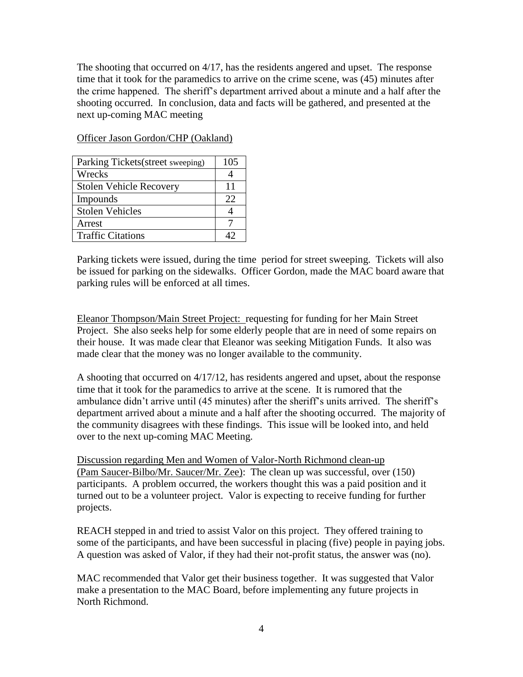The shooting that occurred on 4/17, has the residents angered and upset. The response time that it took for the paramedics to arrive on the crime scene, was (45) minutes after the crime happened. The sheriff's department arrived about a minute and a half after the shooting occurred. In conclusion, data and facts will be gathered, and presented at the next up-coming MAC meeting

| Parking Tickets (street sweeping) | 105 |
|-----------------------------------|-----|
| Wrecks                            |     |
| <b>Stolen Vehicle Recovery</b>    | 11  |
| Impounds                          | 22  |
| <b>Stolen Vehicles</b>            |     |
| Arrest                            |     |
| <b>Traffic Citations</b>          |     |

Officer Jason Gordon/CHP (Oakland)

Parking tickets were issued, during the time period for street sweeping. Tickets will also be issued for parking on the sidewalks. Officer Gordon, made the MAC board aware that parking rules will be enforced at all times.

Eleanor Thompson/Main Street Project: requesting for funding for her Main Street Project. She also seeks help for some elderly people that are in need of some repairs on their house. It was made clear that Eleanor was seeking Mitigation Funds. It also was made clear that the money was no longer available to the community.

A shooting that occurred on 4/17/12, has residents angered and upset, about the response time that it took for the paramedics to arrive at the scene. It is rumored that the ambulance didn't arrive until (45 minutes) after the sheriff's units arrived. The sheriff's department arrived about a minute and a half after the shooting occurred. The majority of the community disagrees with these findings. This issue will be looked into, and held over to the next up-coming MAC Meeting.

Discussion regarding Men and Women of Valor-North Richmond clean-up (Pam Saucer-Bilbo/Mr. Saucer/Mr. Zee): The clean up was successful, over (150) participants. A problem occurred, the workers thought this was a paid position and it turned out to be a volunteer project. Valor is expecting to receive funding for further projects.

REACH stepped in and tried to assist Valor on this project. They offered training to some of the participants, and have been successful in placing (five) people in paying jobs. A question was asked of Valor, if they had their not-profit status, the answer was (no).

MAC recommended that Valor get their business together. It was suggested that Valor make a presentation to the MAC Board, before implementing any future projects in North Richmond.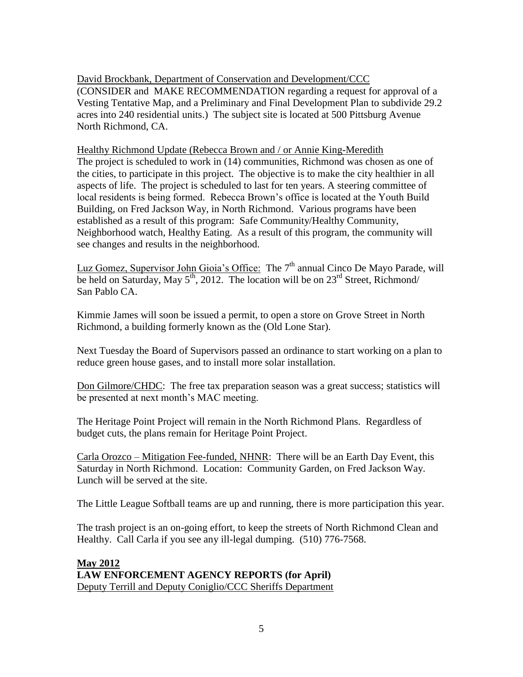David Brockbank, Department of Conservation and Development/CCC (CONSIDER and MAKE RECOMMENDATION regarding a request for approval of a Vesting Tentative Map, and a Preliminary and Final Development Plan to subdivide 29.2 acres into 240 residential units.) The subject site is located at 500 Pittsburg Avenue North Richmond, CA.

Healthy Richmond Update (Rebecca Brown and / or Annie King-Meredith The project is scheduled to work in (14) communities, Richmond was chosen as one of the cities, to participate in this project. The objective is to make the city healthier in all aspects of life. The project is scheduled to last for ten years. A steering committee of local residents is being formed. Rebecca Brown's office is located at the Youth Build Building, on Fred Jackson Way, in North Richmond. Various programs have been established as a result of this program: Safe Community/Healthy Community, Neighborhood watch, Healthy Eating. As a result of this program, the community will see changes and results in the neighborhood.

Luz Gomez, Supervisor John Gioia's Office: The  $7<sup>th</sup>$  annual Cinco De Mavo Parade, will be held on Saturday, May  $5<sup>th</sup>$ , 2012. The location will be on  $23<sup>rd</sup>$  Street, Richmond/ San Pablo CA.

Kimmie James will soon be issued a permit, to open a store on Grove Street in North Richmond, a building formerly known as the (Old Lone Star).

Next Tuesday the Board of Supervisors passed an ordinance to start working on a plan to reduce green house gases, and to install more solar installation.

Don Gilmore/CHDC: The free tax preparation season was a great success; statistics will be presented at next month's MAC meeting.

The Heritage Point Project will remain in the North Richmond Plans. Regardless of budget cuts, the plans remain for Heritage Point Project.

Carla Orozco – Mitigation Fee-funded, NHNR: There will be an Earth Day Event, this Saturday in North Richmond. Location: Community Garden, on Fred Jackson Way. Lunch will be served at the site.

The Little League Softball teams are up and running, there is more participation this year.

The trash project is an on-going effort, to keep the streets of North Richmond Clean and Healthy. Call Carla if you see any ill-legal dumping. (510) 776-7568.

### **May 2012 LAW ENFORCEMENT AGENCY REPORTS (for April)** Deputy Terrill and Deputy Coniglio/CCC Sheriffs Department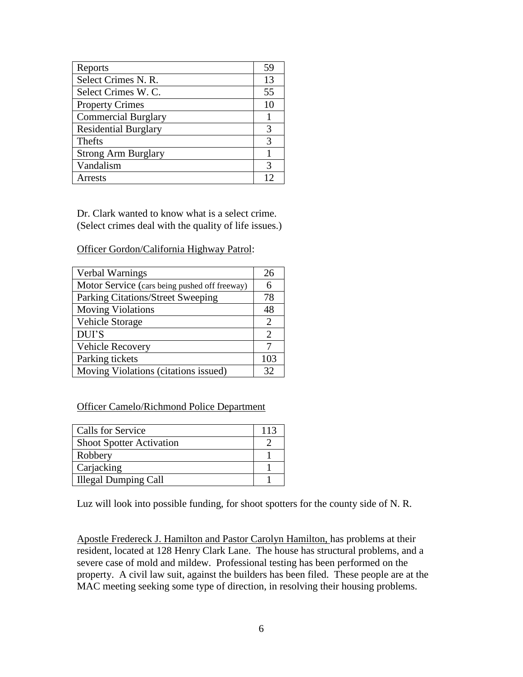| Reports                     | 59 |
|-----------------------------|----|
| Select Crimes N. R.         | 13 |
| Select Crimes W. C.         | 55 |
| <b>Property Crimes</b>      | 10 |
| <b>Commercial Burglary</b>  |    |
| <b>Residential Burglary</b> | 3  |
| Thefts                      | 3  |
| <b>Strong Arm Burglary</b>  |    |
| Vandalism                   | 3  |
| Arrests                     | 12 |

Dr. Clark wanted to know what is a select crime. (Select crimes deal with the quality of life issues.)

Officer Gordon/California Highway Patrol:

| Verbal Warnings                               | 26  |
|-----------------------------------------------|-----|
| Motor Service (cars being pushed off freeway) |     |
| Parking Citations/Street Sweeping             | 78  |
| <b>Moving Violations</b>                      | 48  |
| Vehicle Storage                               | 2   |
| DUI'S                                         | 2   |
| Vehicle Recovery                              |     |
| Parking tickets                               | 103 |
| Moving Violations (citations issued)          | 32  |

#### Officer Camelo/Richmond Police Department

| Calls for Service               | 113 |
|---------------------------------|-----|
| <b>Shoot Spotter Activation</b> |     |
| Robbery                         |     |
| Carjacking                      |     |
| <b>Illegal Dumping Call</b>     |     |

Luz will look into possible funding, for shoot spotters for the county side of N. R.

Apostle Fredereck J. Hamilton and Pastor Carolyn Hamilton, has problems at their resident, located at 128 Henry Clark Lane. The house has structural problems, and a severe case of mold and mildew. Professional testing has been performed on the property. A civil law suit, against the builders has been filed. These people are at the MAC meeting seeking some type of direction, in resolving their housing problems.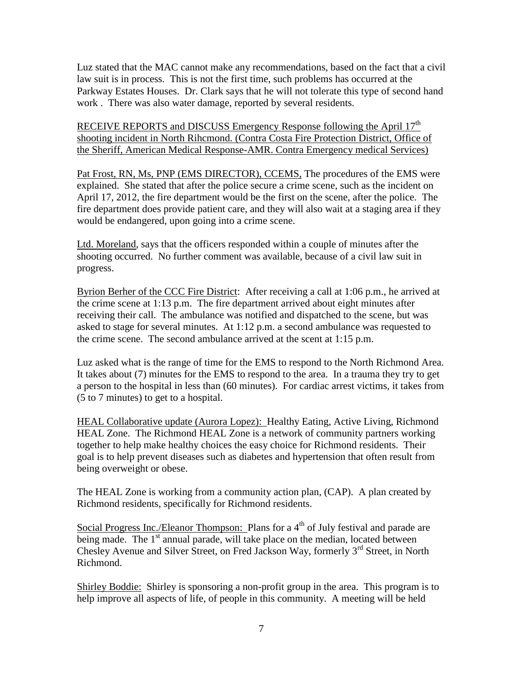Luz stated that the MAC cannot make any recommendations, based on the fact that a civil law suit is in process. This is not the first time, such problems has occurred at the Parkway Estates Houses. Dr. Clark says that he will not tolerate this type of second hand work . There was also water damage, reported by several residents.

RECEIVE REPORTS and DISCUSS Emergency Response following the April 17<sup>th</sup> shooting incident in North Rihcmond. (Contra Costa Fire Protection District, Office of the Sheriff, American Medical Response-AMR. Contra Emergency medical Services)

Pat Frost, RN, Ms, PNP (EMS DIRECTOR), CCEMS, The procedures of the EMS were explained. She stated that after the police secure a crime scene, such as the incident on April 17, 2012, the fire department would be the first on the scene, after the police. The fire department does provide patient care, and they will also wait at a staging area if they would be endangered, upon going into a crime scene.

Ltd. Moreland, says that the officers responded within a couple of minutes after the shooting occurred. No further comment was available, because of a civil law suit in progress.

Byrion Berher of the CCC Fire District: After receiving a call at 1:06 p.m., he arrived at the crime scene at 1:13 p.m. The fire department arrived about eight minutes after receiving their call. The ambulance was notified and dispatched to the scene, but was asked to stage for several minutes. At 1:12 p.m. a second ambulance was requested to the crime scene. The second ambulance arrived at the scent at 1:15 p.m.

Luz asked what is the range of time for the EMS to respond to the North Richmond Area. It takes about (7) minutes for the EMS to respond to the area. In a trauma they try to get a person to the hospital in less than (60 minutes). For cardiac arrest victims, it takes from (5 to 7 minutes) to get to a hospital.

HEAL Collaborative update (Aurora Lopez): Healthy Eating, Active Living, Richmond HEAL Zone. The Richmond HEAL Zone is a network of community partners working together to help make healthy choices the easy choice for Richmond residents. Their goal is to help prevent diseases such as diabetes and hypertension that often result from being overweight or obese.

The HEAL Zone is working from a community action plan, (CAP). A plan created by Richmond residents, specifically for Richmond residents.

Social Progress Inc./Eleanor Thompson: Plans for a  $4<sup>th</sup>$  of July festival and parade are being made. The  $1<sup>st</sup>$  annual parade, will take place on the median, located between Chesley Avenue and Silver Street, on Fred Jackson Way, formerly  $3<sup>rd</sup>$  Street, in North Richmond.

Shirley Boddie: Shirley is sponsoring a non-profit group in the area. This program is to help improve all aspects of life, of people in this community. A meeting will be held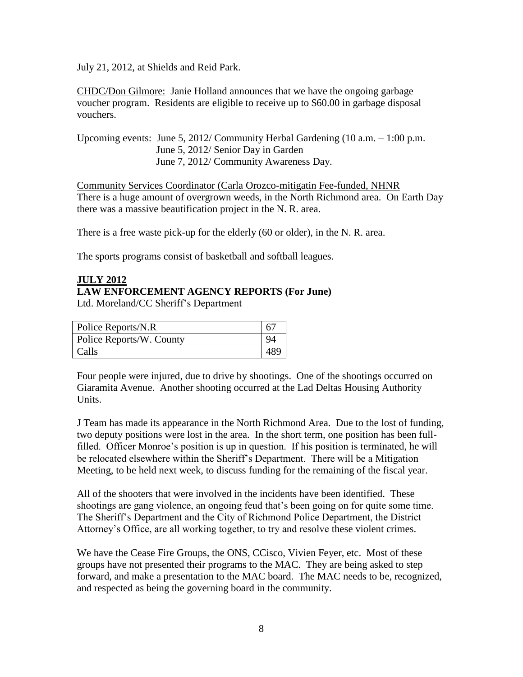July 21, 2012, at Shields and Reid Park.

CHDC/Don Gilmore: Janie Holland announces that we have the ongoing garbage voucher program. Residents are eligible to receive up to \$60.00 in garbage disposal vouchers.

Upcoming events: June 5, 2012/ Community Herbal Gardening (10 a.m. – 1:00 p.m. June 5, 2012/ Senior Day in Garden June 7, 2012/ Community Awareness Day.

Community Services Coordinator (Carla Orozco-mitigatin Fee-funded, NHNR There is a huge amount of overgrown weeds, in the North Richmond area. On Earth Day there was a massive beautification project in the N. R. area.

There is a free waste pick-up for the elderly (60 or older), in the N. R. area.

The sports programs consist of basketball and softball leagues.

#### **JULY 2012 LAW ENFORCEMENT AGENCY REPORTS (For June)** Ltd. Moreland/CC Sheriff's Department

| Police Reports/N.R       |  |
|--------------------------|--|
| Police Reports/W. County |  |
| Calls                    |  |

Four people were injured, due to drive by shootings. One of the shootings occurred on Giaramita Avenue. Another shooting occurred at the Lad Deltas Housing Authority Units.

J Team has made its appearance in the North Richmond Area. Due to the lost of funding, two deputy positions were lost in the area. In the short term, one position has been fullfilled. Officer Monroe's position is up in question. If his position is terminated, he will be relocated elsewhere within the Sheriff's Department. There will be a Mitigation Meeting, to be held next week, to discuss funding for the remaining of the fiscal year.

All of the shooters that were involved in the incidents have been identified. These shootings are gang violence, an ongoing feud that's been going on for quite some time. The Sheriff's Department and the City of Richmond Police Department, the District Attorney's Office, are all working together, to try and resolve these violent crimes.

We have the Cease Fire Groups, the ONS, CCisco, Vivien Feyer, etc. Most of these groups have not presented their programs to the MAC. They are being asked to step forward, and make a presentation to the MAC board. The MAC needs to be, recognized, and respected as being the governing board in the community.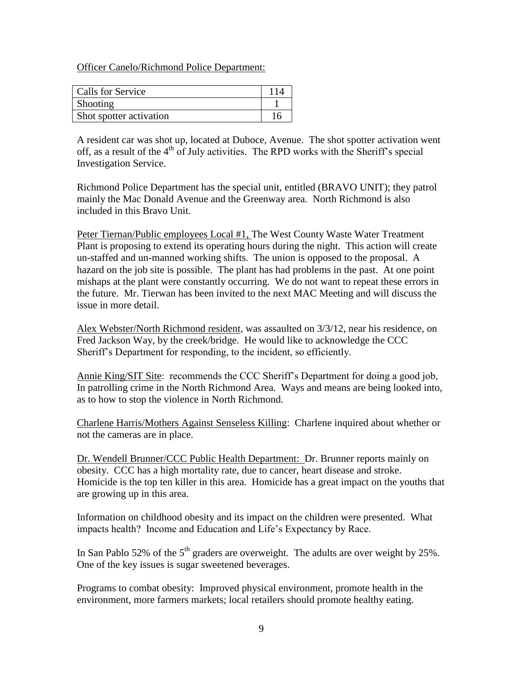Officer Canelo/Richmond Police Department:

| <b>Calls for Service</b> |  |
|--------------------------|--|
| Shooting                 |  |
| Shot spotter activation  |  |

A resident car was shot up, located at Duboce, Avenue. The shot spotter activation went off, as a result of the  $4<sup>th</sup>$  of July activities. The RPD works with the Sheriff's special Investigation Service.

Richmond Police Department has the special unit, entitled (BRAVO UNIT); they patrol mainly the Mac Donald Avenue and the Greenway area. North Richmond is also included in this Bravo Unit.

Peter Tiernan/Public employees Local #1, The West County Waste Water Treatment Plant is proposing to extend its operating hours during the night. This action will create un-staffed and un-manned working shifts. The union is opposed to the proposal. A hazard on the job site is possible. The plant has had problems in the past. At one point mishaps at the plant were constantly occurring. We do not want to repeat these errors in the future. Mr. Tierwan has been invited to the next MAC Meeting and will discuss the issue in more detail.

Alex Webster/North Richmond resident, was assaulted on 3/3/12, near his residence, on Fred Jackson Way, by the creek/bridge. He would like to acknowledge the CCC Sheriff's Department for responding, to the incident, so efficiently.

Annie King/SIT Site: recommends the CCC Sheriff's Department for doing a good job, In patrolling crime in the North Richmond Area. Ways and means are being looked into, as to how to stop the violence in North Richmond.

Charlene Harris/Mothers Against Senseless Killing: Charlene inquired about whether or not the cameras are in place.

Dr. Wendell Brunner/CCC Public Health Department: Dr. Brunner reports mainly on obesity. CCC has a high mortality rate, due to cancer, heart disease and stroke. Homicide is the top ten killer in this area. Homicide has a great impact on the youths that are growing up in this area.

Information on childhood obesity and its impact on the children were presented. What impacts health? Income and Education and Life's Expectancy by Race.

In San Pablo 52% of the  $5<sup>th</sup>$  graders are overweight. The adults are over weight by 25%. One of the key issues is sugar sweetened beverages.

Programs to combat obesity: Improved physical environment, promote health in the environment, more farmers markets; local retailers should promote healthy eating.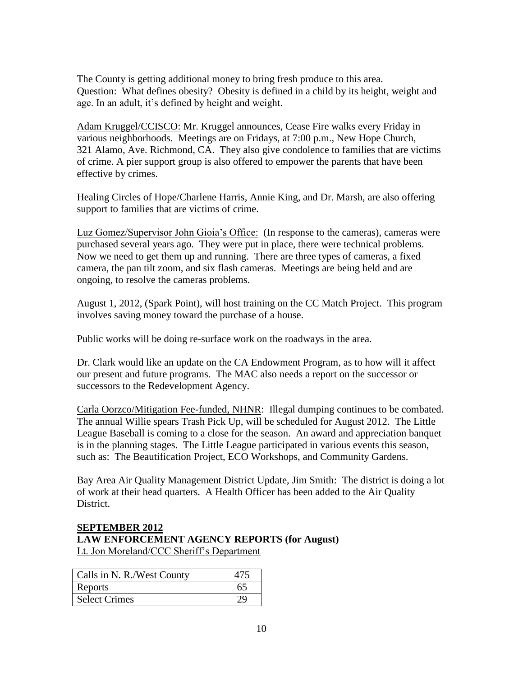The County is getting additional money to bring fresh produce to this area. Question: What defines obesity? Obesity is defined in a child by its height, weight and age. In an adult, it's defined by height and weight.

Adam Kruggel/CCISCO: Mr. Kruggel announces, Cease Fire walks every Friday in various neighborhoods. Meetings are on Fridays, at 7:00 p.m., New Hope Church, 321 Alamo, Ave. Richmond, CA. They also give condolence to families that are victims of crime. A pier support group is also offered to empower the parents that have been effective by crimes.

Healing Circles of Hope/Charlene Harris, Annie King, and Dr. Marsh, are also offering support to families that are victims of crime.

Luz Gomez/Supervisor John Gioia's Office: (In response to the cameras), cameras were purchased several years ago. They were put in place, there were technical problems. Now we need to get them up and running. There are three types of cameras, a fixed camera, the pan tilt zoom, and six flash cameras. Meetings are being held and are ongoing, to resolve the cameras problems.

August 1, 2012, (Spark Point), will host training on the CC Match Project. This program involves saving money toward the purchase of a house.

Public works will be doing re-surface work on the roadways in the area.

Dr. Clark would like an update on the CA Endowment Program, as to how will it affect our present and future programs. The MAC also needs a report on the successor or successors to the Redevelopment Agency.

Carla Oorzco/Mitigation Fee-funded, NHNR: Illegal dumping continues to be combated. The annual Willie spears Trash Pick Up, will be scheduled for August 2012. The Little League Baseball is coming to a close for the season. An award and appreciation banquet is in the planning stages. The Little League participated in various events this season, such as: The Beautification Project, ECO Workshops, and Community Gardens.

Bay Area Air Quality Management District Update, Jim Smith: The district is doing a lot of work at their head quarters. A Health Officer has been added to the Air Quality District.

## **SEPTEMBER 2012 LAW ENFORCEMENT AGENCY REPORTS (for August)** Lt. Jon Moreland/CCC Sheriff's Department

| Calls in N. R./West County |    |
|----------------------------|----|
| Reports                    | 65 |
| <b>Select Crimes</b>       | 70 |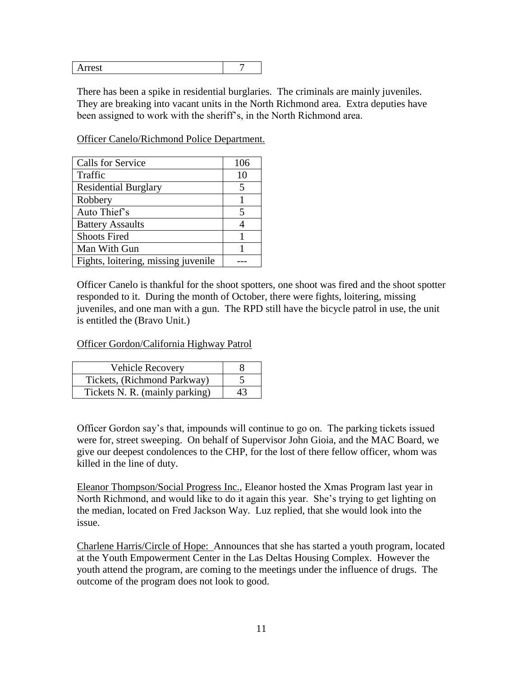| -<br>----- |  |
|------------|--|
|            |  |

There has been a spike in residential burglaries. The criminals are mainly juveniles. They are breaking into vacant units in the North Richmond area. Extra deputies have been assigned to work with the sheriff's, in the North Richmond area.

Officer Canelo/Richmond Police Department.

| <b>Calls for Service</b>            | 106 |
|-------------------------------------|-----|
| Traffic                             | 10  |
| <b>Residential Burglary</b>         |     |
| Robbery                             |     |
| Auto Thief's                        |     |
| <b>Battery Assaults</b>             |     |
| <b>Shoots Fired</b>                 |     |
| Man With Gun                        |     |
| Fights, loitering, missing juvenile |     |

Officer Canelo is thankful for the shoot spotters, one shoot was fired and the shoot spotter responded to it. During the month of October, there were fights, loitering, missing juveniles, and one man with a gun. The RPD still have the bicycle patrol in use, the unit is entitled the (Bravo Unit.)

Officer Gordon/California Highway Patrol

| <b>Vehicle Recovery</b>        |    |
|--------------------------------|----|
| Tickets, (Richmond Parkway)    |    |
| Tickets N. R. (mainly parking) | 43 |

Officer Gordon say's that, impounds will continue to go on. The parking tickets issued were for, street sweeping. On behalf of Supervisor John Gioia, and the MAC Board, we give our deepest condolences to the CHP, for the lost of there fellow officer, whom was killed in the line of duty.

Eleanor Thompson/Social Progress Inc., Eleanor hosted the Xmas Program last year in North Richmond, and would like to do it again this year. She's trying to get lighting on the median, located on Fred Jackson Way. Luz replied, that she would look into the issue.

Charlene Harris/Circle of Hope: Announces that she has started a youth program, located at the Youth Empowerment Center in the Las Deltas Housing Complex. However the youth attend the program, are coming to the meetings under the influence of drugs. The outcome of the program does not look to good.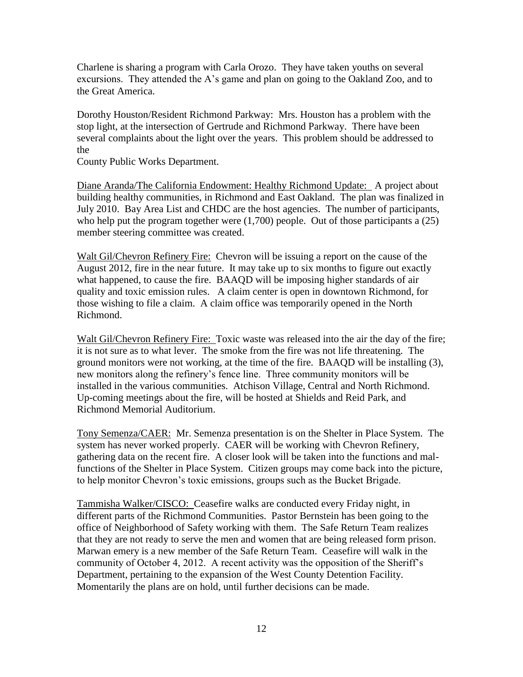Charlene is sharing a program with Carla Orozo. They have taken youths on several excursions. They attended the A's game and plan on going to the Oakland Zoo, and to the Great America.

Dorothy Houston/Resident Richmond Parkway: Mrs. Houston has a problem with the stop light, at the intersection of Gertrude and Richmond Parkway. There have been several complaints about the light over the years. This problem should be addressed to the

County Public Works Department.

Diane Aranda/The California Endowment: Healthy Richmond Update: A project about building healthy communities, in Richmond and East Oakland. The plan was finalized in July 2010. Bay Area List and CHDC are the host agencies. The number of participants, who help put the program together were  $(1,700)$  people. Out of those participants a  $(25)$ member steering committee was created.

Walt Gil/Chevron Refinery Fire: Chevron will be issuing a report on the cause of the August 2012, fire in the near future. It may take up to six months to figure out exactly what happened, to cause the fire. BAAQD will be imposing higher standards of air quality and toxic emission rules. A claim center is open in downtown Richmond, for those wishing to file a claim. A claim office was temporarily opened in the North Richmond.

Walt Gil/Chevron Refinery Fire: Toxic waste was released into the air the day of the fire; it is not sure as to what lever. The smoke from the fire was not life threatening. The ground monitors were not working, at the time of the fire. BAAQD will be installing (3), new monitors along the refinery's fence line. Three community monitors will be installed in the various communities. Atchison Village, Central and North Richmond. Up-coming meetings about the fire, will be hosted at Shields and Reid Park, and Richmond Memorial Auditorium.

Tony Semenza/CAER: Mr. Semenza presentation is on the Shelter in Place System. The system has never worked properly. CAER will be working with Chevron Refinery, gathering data on the recent fire. A closer look will be taken into the functions and malfunctions of the Shelter in Place System. Citizen groups may come back into the picture, to help monitor Chevron's toxic emissions, groups such as the Bucket Brigade.

Tammisha Walker/CISCO: Ceasefire walks are conducted every Friday night, in different parts of the Richmond Communities. Pastor Bernstein has been going to the office of Neighborhood of Safety working with them. The Safe Return Team realizes that they are not ready to serve the men and women that are being released form prison. Marwan emery is a new member of the Safe Return Team. Ceasefire will walk in the community of October 4, 2012. A recent activity was the opposition of the Sheriff's Department, pertaining to the expansion of the West County Detention Facility. Momentarily the plans are on hold, until further decisions can be made.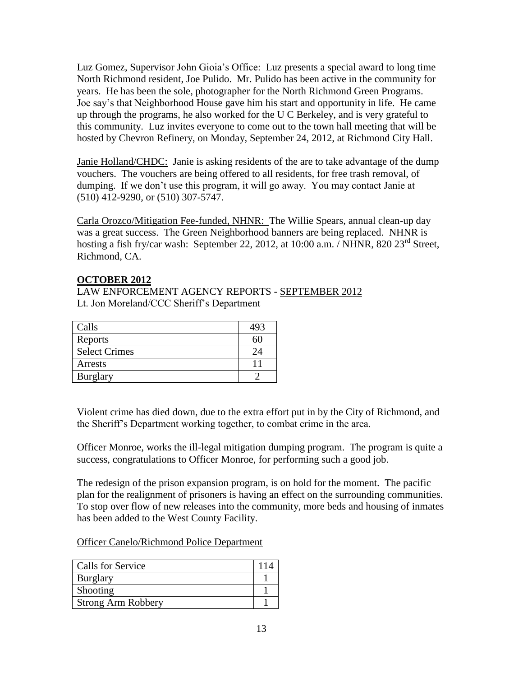Luz Gomez, Supervisor John Gioia's Office: Luz presents a special award to long time North Richmond resident, Joe Pulido. Mr. Pulido has been active in the community for years. He has been the sole, photographer for the North Richmond Green Programs. Joe say's that Neighborhood House gave him his start and opportunity in life. He came up through the programs, he also worked for the U C Berkeley, and is very grateful to this community. Luz invites everyone to come out to the town hall meeting that will be hosted by Chevron Refinery, on Monday, September 24, 2012, at Richmond City Hall.

Janie Holland/CHDC: Janie is asking residents of the are to take advantage of the dump vouchers. The vouchers are being offered to all residents, for free trash removal, of dumping. If we don't use this program, it will go away. You may contact Janie at (510) 412-9290, or (510) 307-5747.

Carla Orozco/Mitigation Fee-funded, NHNR: The Willie Spears, annual clean-up day was a great success. The Green Neighborhood banners are being replaced. NHNR is hosting a fish fry/car wash: September 22, 2012, at 10:00 a.m. / NHNR, 820 23<sup>rd</sup> Street, Richmond, CA.

#### **OCTOBER 2012**

LAW ENFORCEMENT AGENCY REPORTS - SEPTEMBER 2012 Lt. Jon Moreland/CCC Sheriff's Department

| Calls                |  |
|----------------------|--|
| Reports              |  |
| <b>Select Crimes</b> |  |
| Arrests              |  |
| <b>Burglary</b>      |  |

Violent crime has died down, due to the extra effort put in by the City of Richmond, and the Sheriff's Department working together, to combat crime in the area.

Officer Monroe, works the ill-legal mitigation dumping program. The program is quite a success, congratulations to Officer Monroe, for performing such a good job.

The redesign of the prison expansion program, is on hold for the moment. The pacific plan for the realignment of prisoners is having an effect on the surrounding communities. To stop over flow of new releases into the community, more beds and housing of inmates has been added to the West County Facility.

Officer Canelo/Richmond Police Department

| Calls for Service         |  |
|---------------------------|--|
| Burglary                  |  |
| Shooting                  |  |
| <b>Strong Arm Robbery</b> |  |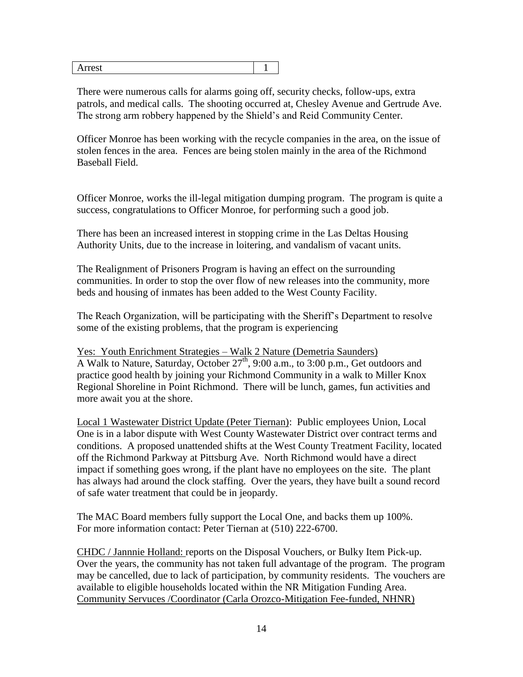|  | -<br>---<br>- |  |
|--|---------------|--|
|--|---------------|--|

There were numerous calls for alarms going off, security checks, follow-ups, extra patrols, and medical calls. The shooting occurred at, Chesley Avenue and Gertrude Ave. The strong arm robbery happened by the Shield's and Reid Community Center.

Officer Monroe has been working with the recycle companies in the area, on the issue of stolen fences in the area. Fences are being stolen mainly in the area of the Richmond Baseball Field.

Officer Monroe, works the ill-legal mitigation dumping program. The program is quite a success, congratulations to Officer Monroe, for performing such a good job.

There has been an increased interest in stopping crime in the Las Deltas Housing Authority Units, due to the increase in loitering, and vandalism of vacant units.

The Realignment of Prisoners Program is having an effect on the surrounding communities. In order to stop the over flow of new releases into the community, more beds and housing of inmates has been added to the West County Facility.

The Reach Organization, will be participating with the Sheriff's Department to resolve some of the existing problems, that the program is experiencing

Yes: Youth Enrichment Strategies – Walk 2 Nature (Demetria Saunders) A Walk to Nature, Saturday, October 27<sup>th</sup>, 9:00 a.m., to 3:00 p.m., Get outdoors and practice good health by joining your Richmond Community in a walk to Miller Knox Regional Shoreline in Point Richmond. There will be lunch, games, fun activities and more await you at the shore.

Local 1 Wastewater District Update (Peter Tiernan): Public employees Union, Local One is in a labor dispute with West County Wastewater District over contract terms and conditions. A proposed unattended shifts at the West County Treatment Facility, located off the Richmond Parkway at Pittsburg Ave. North Richmond would have a direct impact if something goes wrong, if the plant have no employees on the site. The plant has always had around the clock staffing. Over the years, they have built a sound record of safe water treatment that could be in jeopardy.

The MAC Board members fully support the Local One, and backs them up 100%. For more information contact: Peter Tiernan at (510) 222-6700.

CHDC / Jannnie Holland: reports on the Disposal Vouchers, or Bulky Item Pick-up. Over the years, the community has not taken full advantage of the program. The program may be cancelled, due to lack of participation, by community residents. The vouchers are available to eligible households located within the NR Mitigation Funding Area. Community Servuces /Coordinator (Carla Orozco-Mitigation Fee-funded, NHNR)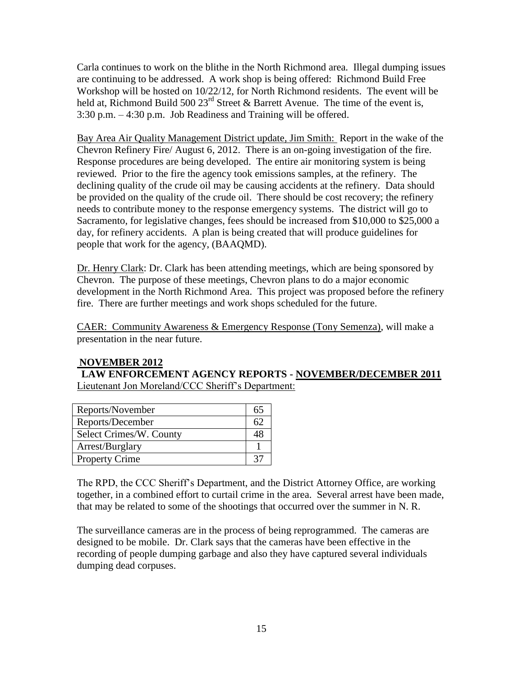Carla continues to work on the blithe in the North Richmond area. Illegal dumping issues are continuing to be addressed. A work shop is being offered: Richmond Build Free Workshop will be hosted on 10/22/12, for North Richmond residents. The event will be held at, Richmond Build 500  $23<sup>rd</sup>$  Street & Barrett Avenue. The time of the event is, 3:30 p.m. – 4:30 p.m. Job Readiness and Training will be offered.

Bay Area Air Quality Management District update, Jim Smith: Report in the wake of the Chevron Refinery Fire/ August 6, 2012. There is an on-going investigation of the fire. Response procedures are being developed. The entire air monitoring system is being reviewed. Prior to the fire the agency took emissions samples, at the refinery. The declining quality of the crude oil may be causing accidents at the refinery. Data should be provided on the quality of the crude oil. There should be cost recovery; the refinery needs to contribute money to the response emergency systems. The district will go to Sacramento, for legislative changes, fees should be increased from \$10,000 to \$25,000 a day, for refinery accidents. A plan is being created that will produce guidelines for people that work for the agency, (BAAQMD).

Dr. Henry Clark: Dr. Clark has been attending meetings, which are being sponsored by Chevron. The purpose of these meetings, Chevron plans to do a major economic development in the North Richmond Area. This project was proposed before the refinery fire. There are further meetings and work shops scheduled for the future.

CAER: Community Awareness & Emergency Response (Tony Semenza), will make a presentation in the near future.

## **NOVEMBER 2012**

**LAW ENFORCEMENT AGENCY REPORTS - NOVEMBER/DECEMBER 2011** Lieutenant Jon Moreland/CCC Sheriff's Department:

| Reports/November        | 65 |
|-------------------------|----|
| Reports/December        |    |
| Select Crimes/W. County |    |
| Arrest/Burglary         |    |
| <b>Property Crime</b>   |    |

The RPD, the CCC Sheriff's Department, and the District Attorney Office, are working together, in a combined effort to curtail crime in the area. Several arrest have been made, that may be related to some of the shootings that occurred over the summer in N. R.

The surveillance cameras are in the process of being reprogrammed. The cameras are designed to be mobile. Dr. Clark says that the cameras have been effective in the recording of people dumping garbage and also they have captured several individuals dumping dead corpuses.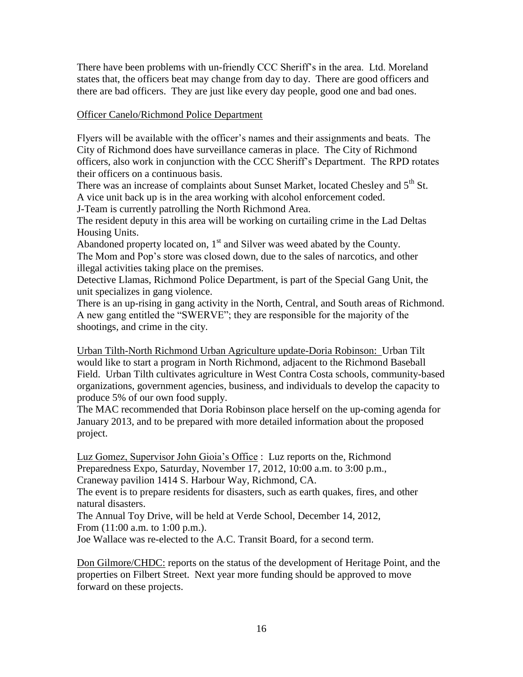There have been problems with un-friendly CCC Sheriff's in the area. Ltd. Moreland states that, the officers beat may change from day to day. There are good officers and there are bad officers. They are just like every day people, good one and bad ones.

### Officer Canelo/Richmond Police Department

Flyers will be available with the officer's names and their assignments and beats. The City of Richmond does have surveillance cameras in place. The City of Richmond officers, also work in conjunction with the CCC Sheriff's Department. The RPD rotates their officers on a continuous basis.

There was an increase of complaints about Sunset Market, located Chesley and 5<sup>th</sup> St. A vice unit back up is in the area working with alcohol enforcement coded.

J-Team is currently patrolling the North Richmond Area.

The resident deputy in this area will be working on curtailing crime in the Lad Deltas Housing Units.

Abandoned property located on,  $1<sup>st</sup>$  and Silver was weed abated by the County. The Mom and Pop's store was closed down, due to the sales of narcotics, and other illegal activities taking place on the premises.

Detective Llamas, Richmond Police Department, is part of the Special Gang Unit, the unit specializes in gang violence.

There is an up-rising in gang activity in the North, Central, and South areas of Richmond. A new gang entitled the "SWERVE"; they are responsible for the majority of the shootings, and crime in the city.

Urban Tilth-North Richmond Urban Agriculture update-Doria Robinson: Urban Tilt would like to start a program in North Richmond, adjacent to the Richmond Baseball Field. Urban Tilth cultivates agriculture in West Contra Costa schools, community-based organizations, government agencies, business, and individuals to develop the capacity to produce 5% of our own food supply.

The MAC recommended that Doria Robinson place herself on the up-coming agenda for January 2013, and to be prepared with more detailed information about the proposed project.

Luz Gomez, Supervisor John Gioia's Office : Luz reports on the, Richmond Preparedness Expo, Saturday, November 17, 2012, 10:00 a.m. to 3:00 p.m., Craneway pavilion 1414 S. Harbour Way, Richmond, CA.

The event is to prepare residents for disasters, such as earth quakes, fires, and other natural disasters.

The Annual Toy Drive, will be held at Verde School, December 14, 2012, From (11:00 a.m. to 1:00 p.m.).

Joe Wallace was re-elected to the A.C. Transit Board, for a second term.

Don Gilmore/CHDC: reports on the status of the development of Heritage Point, and the properties on Filbert Street. Next year more funding should be approved to move forward on these projects.